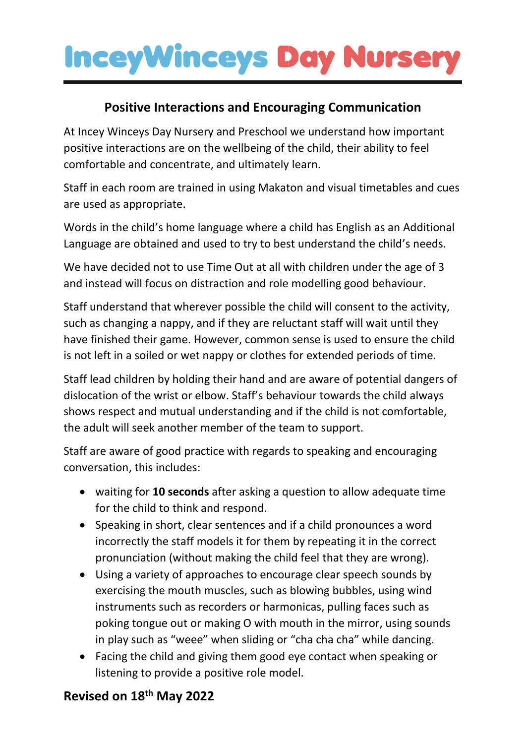### **InceyWinceys Day Nursery**

#### **Positive Interactions and Encouraging Communication**

At Incey Winceys Day Nursery and Preschool we understand how important positive interactions are on the wellbeing of the child, their ability to feel comfortable and concentrate, and ultimately learn.

Staff in each room are trained in using Makaton and visual timetables and cues are used as appropriate.

Words in the child's home language where a child has English as an Additional Language are obtained and used to try to best understand the child's needs.

We have decided not to use Time Out at all with children under the age of 3 and instead will focus on distraction and role modelling good behaviour.

Staff understand that wherever possible the child will consent to the activity, such as changing a nappy, and if they are reluctant staff will wait until they have finished their game. However, common sense is used to ensure the child is not left in a soiled or wet nappy or clothes for extended periods of time.

Staff lead children by holding their hand and are aware of potential dangers of dislocation of the wrist or elbow. Staff's behaviour towards the child always shows respect and mutual understanding and if the child is not comfortable, the adult will seek another member of the team to support.

Staff are aware of good practice with regards to speaking and encouraging conversation, this includes:

- waiting for **10 seconds** after asking a question to allow adequate time for the child to think and respond.
- Speaking in short, clear sentences and if a child pronounces a word incorrectly the staff models it for them by repeating it in the correct pronunciation (without making the child feel that they are wrong).
- Using a variety of approaches to encourage clear speech sounds by exercising the mouth muscles, such as blowing bubbles, using wind instruments such as recorders or harmonicas, pulling faces such as poking tongue out or making O with mouth in the mirror, using sounds in play such as "weee" when sliding or "cha cha cha" while dancing.
- Facing the child and giving them good eye contact when speaking or listening to provide a positive role model.

#### **Revised on 18th May 2022**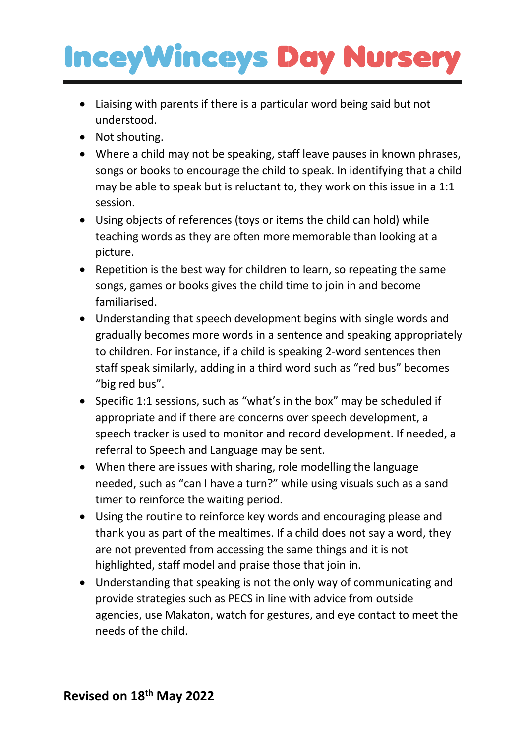## **InceyWinceys Day Nurser**

- Liaising with parents if there is a particular word being said but not understood.
- Not shouting.
- Where a child may not be speaking, staff leave pauses in known phrases, songs or books to encourage the child to speak. In identifying that a child may be able to speak but is reluctant to, they work on this issue in a 1:1 session.
- Using objects of references (toys or items the child can hold) while teaching words as they are often more memorable than looking at a picture.
- Repetition is the best way for children to learn, so repeating the same songs, games or books gives the child time to join in and become familiarised.
- Understanding that speech development begins with single words and gradually becomes more words in a sentence and speaking appropriately to children. For instance, if a child is speaking 2-word sentences then staff speak similarly, adding in a third word such as "red bus" becomes "big red bus".
- Specific 1:1 sessions, such as "what's in the box" may be scheduled if appropriate and if there are concerns over speech development, a speech tracker is used to monitor and record development. If needed, a referral to Speech and Language may be sent.
- When there are issues with sharing, role modelling the language needed, such as "can I have a turn?" while using visuals such as a sand timer to reinforce the waiting period.
- Using the routine to reinforce key words and encouraging please and thank you as part of the mealtimes. If a child does not say a word, they are not prevented from accessing the same things and it is not highlighted, staff model and praise those that join in.
- Understanding that speaking is not the only way of communicating and provide strategies such as PECS in line with advice from outside agencies, use Makaton, watch for gestures, and eye contact to meet the needs of the child.